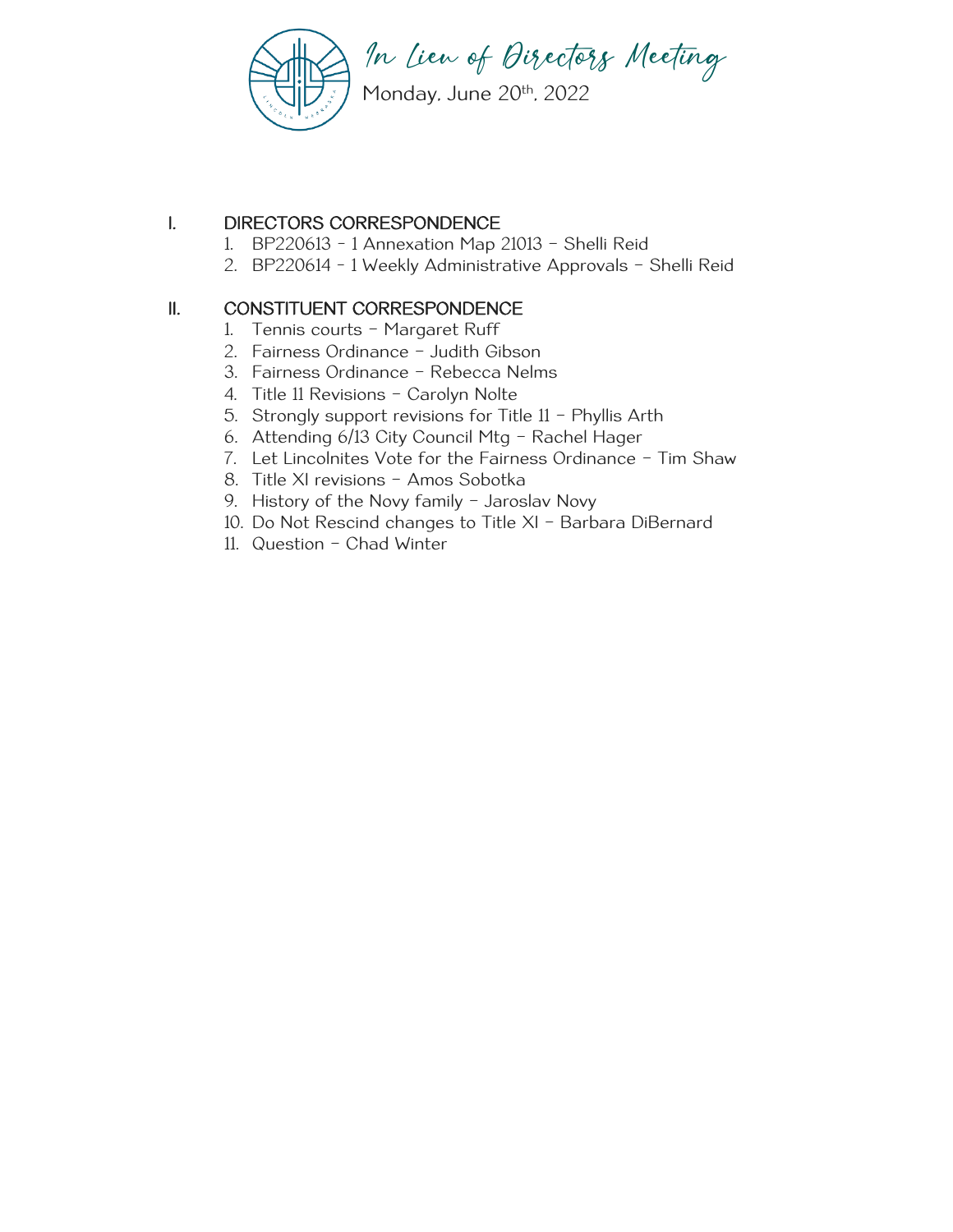

## I. DIRECTORS CORRESPONDENCE

- 1. BP220613 1 Annexation Map 21013 Shelli Reid
- 2. BP220614 1 Weekly Administrative Approvals Shelli Reid

## II. CONSTITUENT CORRESPONDENCE

- 1. Tennis courts Margaret Ruff
- 2. Fairness Ordinance Judith Gibson
- 3. Fairness Ordinance Rebecca Nelms
- 4. Title 11 Revisions Carolyn Nolte
- 5. Strongly support revisions for Title 11 Phyllis Arth
- 6. Attending 6/13 City Council Mtg Rachel Hager
- 7. Let Lincolnites Vote for the Fairness Ordinance Tim Shaw
- 8. Title XI revisions Amos Sobotka
- 9. History of the Novy family Jaroslav Novy
- 10. Do Not Rescind changes to Title XI Barbara DiBernard
- 11. Question Chad Winter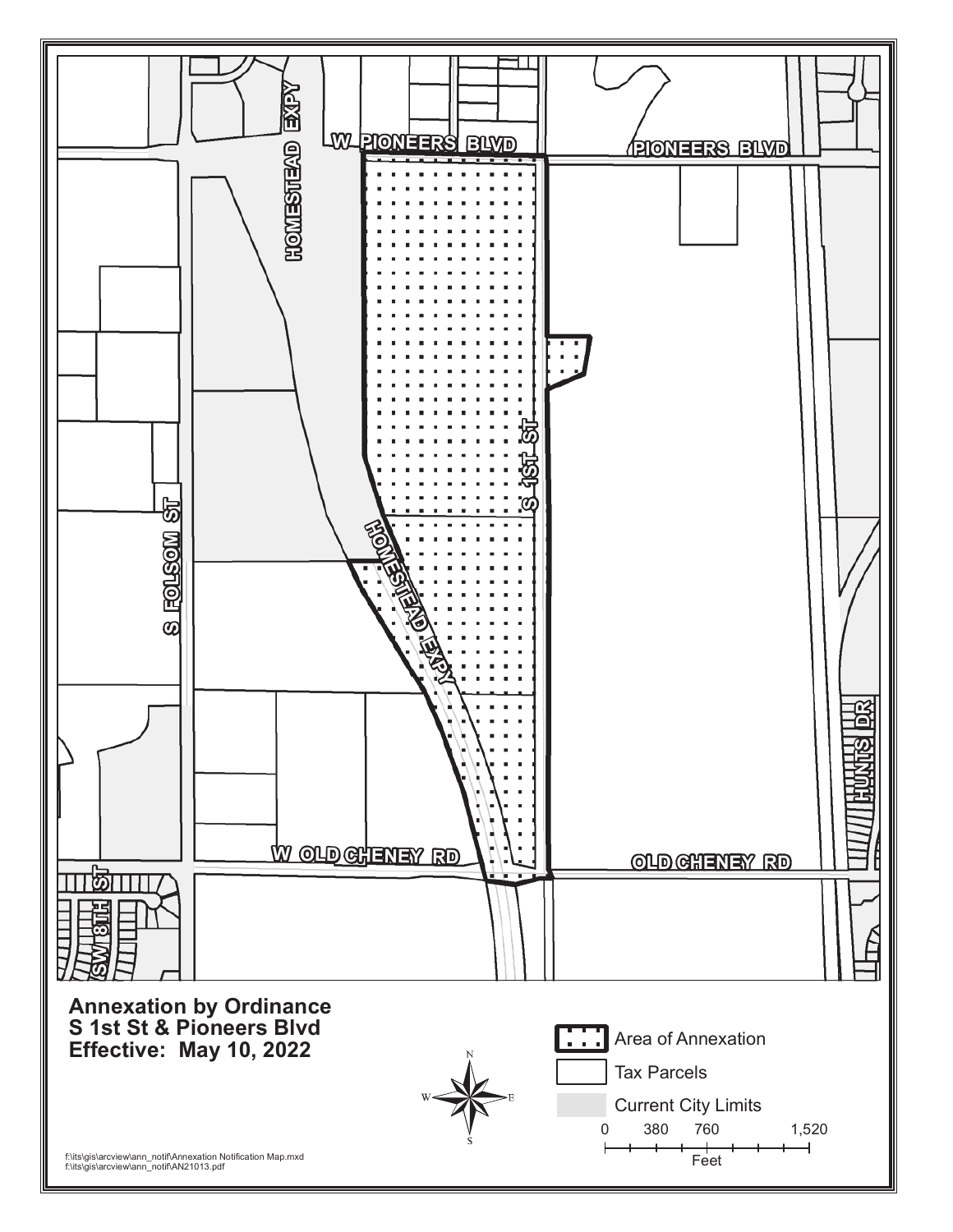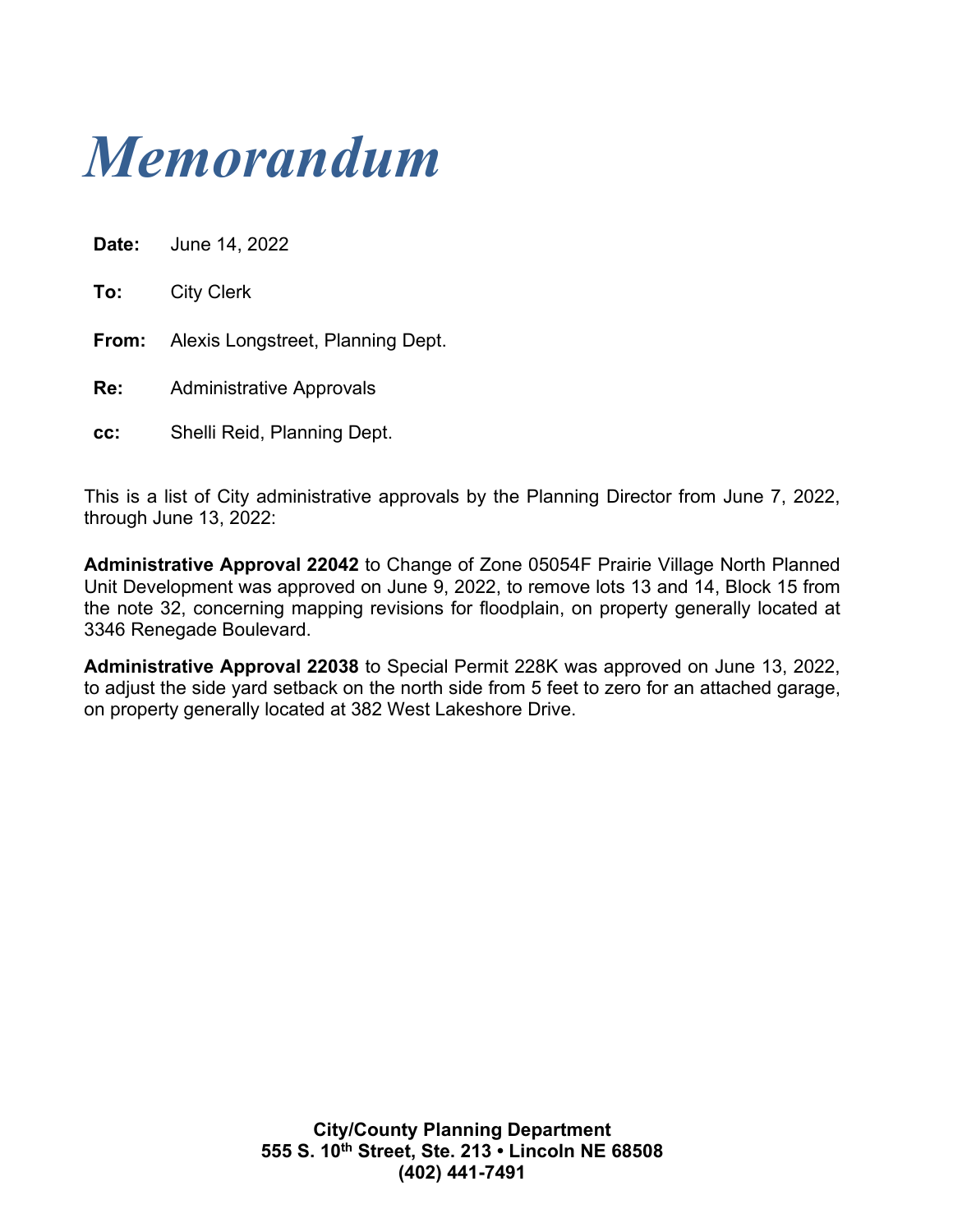

| Date: | June 14, 2022                     |
|-------|-----------------------------------|
| To:   | <b>City Clerk</b>                 |
| From: | Alexis Longstreet, Planning Dept. |
| Re:   | <b>Administrative Approvals</b>   |
| cc:   | Shelli Reid, Planning Dept.       |

This is a list of City administrative approvals by the Planning Director from June 7, 2022, through June 13, 2022:

**Administrative Approval 22042** to Change of Zone 05054F Prairie Village North Planned Unit Development was approved on June 9, 2022, to remove lots 13 and 14, Block 15 from the note 32, concerning mapping revisions for floodplain, on property generally located at 3346 Renegade Boulevard.

**Administrative Approval 22038** to Special Permit 228K was approved on June 13, 2022, to adjust the side yard setback on the north side from 5 feet to zero for an attached garage, on property generally located at 382 West Lakeshore Drive.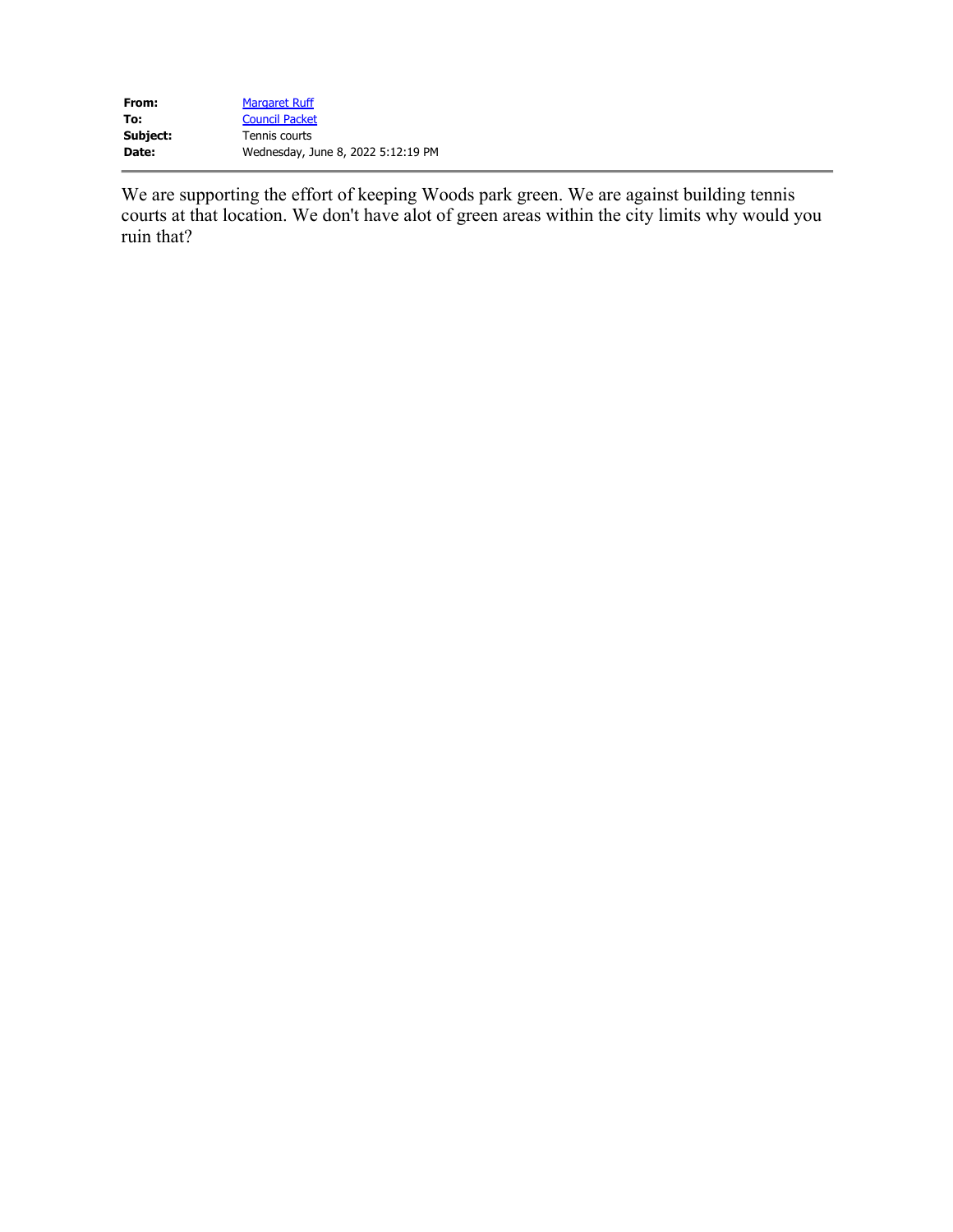| From:    | <b>Margaret Ruff</b>               |
|----------|------------------------------------|
| To:      | <b>Council Packet</b>              |
| Subject: | Tennis courts                      |
| Date:    | Wednesday, June 8, 2022 5:12:19 PM |

We are supporting the effort of keeping Woods park green. We are against building tennis courts at that location. We don't have alot of green areas within the city limits why would you ruin that?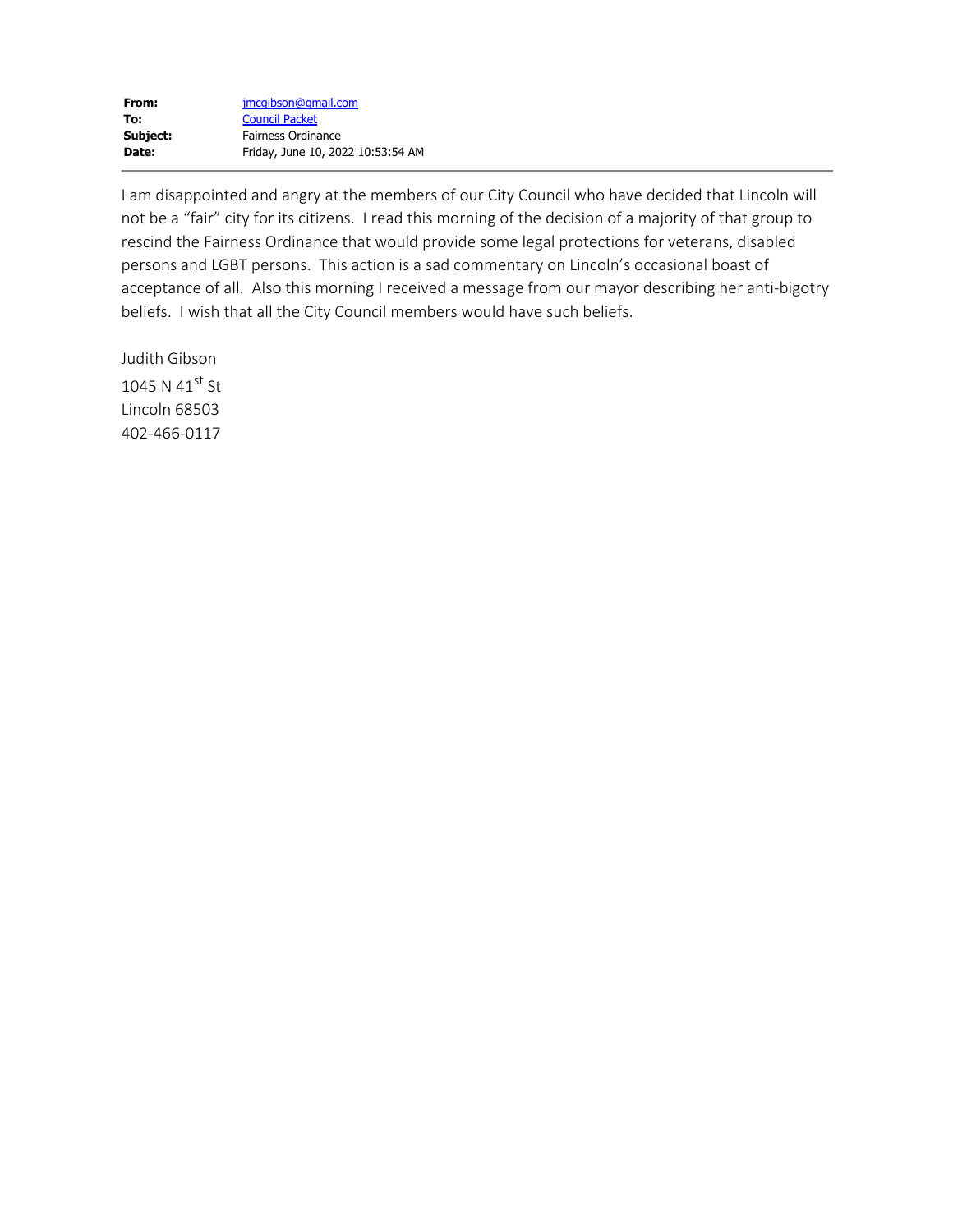| From:    | jmcqibson@qmail.com               |
|----------|-----------------------------------|
| To:      | <b>Council Packet</b>             |
| Subject: | Fairness Ordinance                |
| Date:    | Friday, June 10, 2022 10:53:54 AM |

I am disappointed and angry at the members of our City Council who have decided that Lincoln will not be a "fair" city for its citizens. I read this morning of the decision of a majority of that group to rescind the Fairness Ordinance that would provide some legal protections for veterans, disabled persons and LGBT persons. This action is a sad commentary on Lincoln's occasional boast of acceptance of all. Also this morning I received a message from our mayor describing her anti-bigotry beliefs. I wish that all the City Council members would have such beliefs.

Judith Gibson 1045 N 4 $1$ <sup>st</sup> St Lincoln 68503 402-466-0117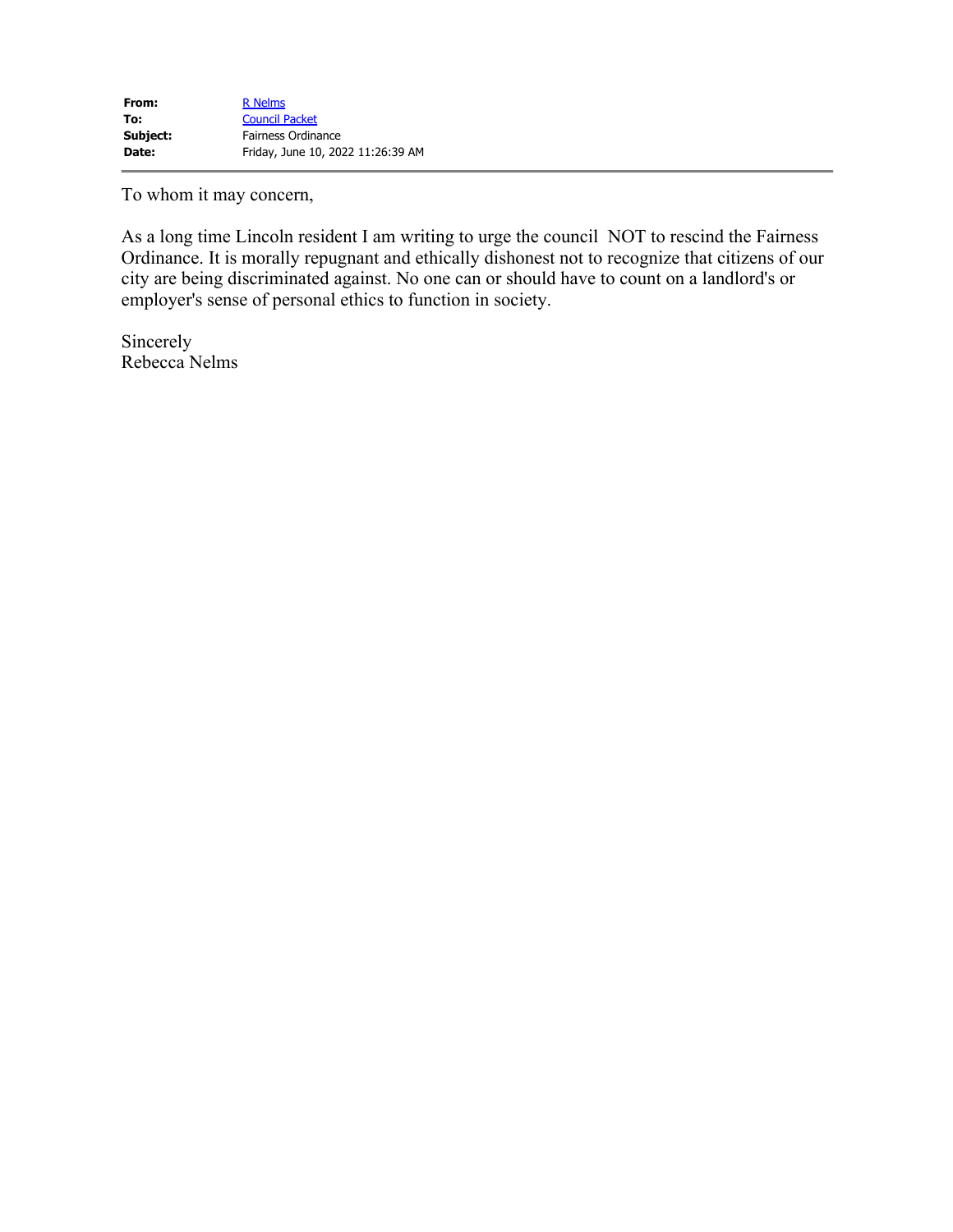To whom it may concern,

As a long time Lincoln resident I am writing to urge the council NOT to rescind the Fairness Ordinance. It is morally repugnant and ethically dishonest not to recognize that citizens of our city are being discriminated against. No one can or should have to count on a landlord's or employer's sense of personal ethics to function in society.

Sincerely Rebecca Nelms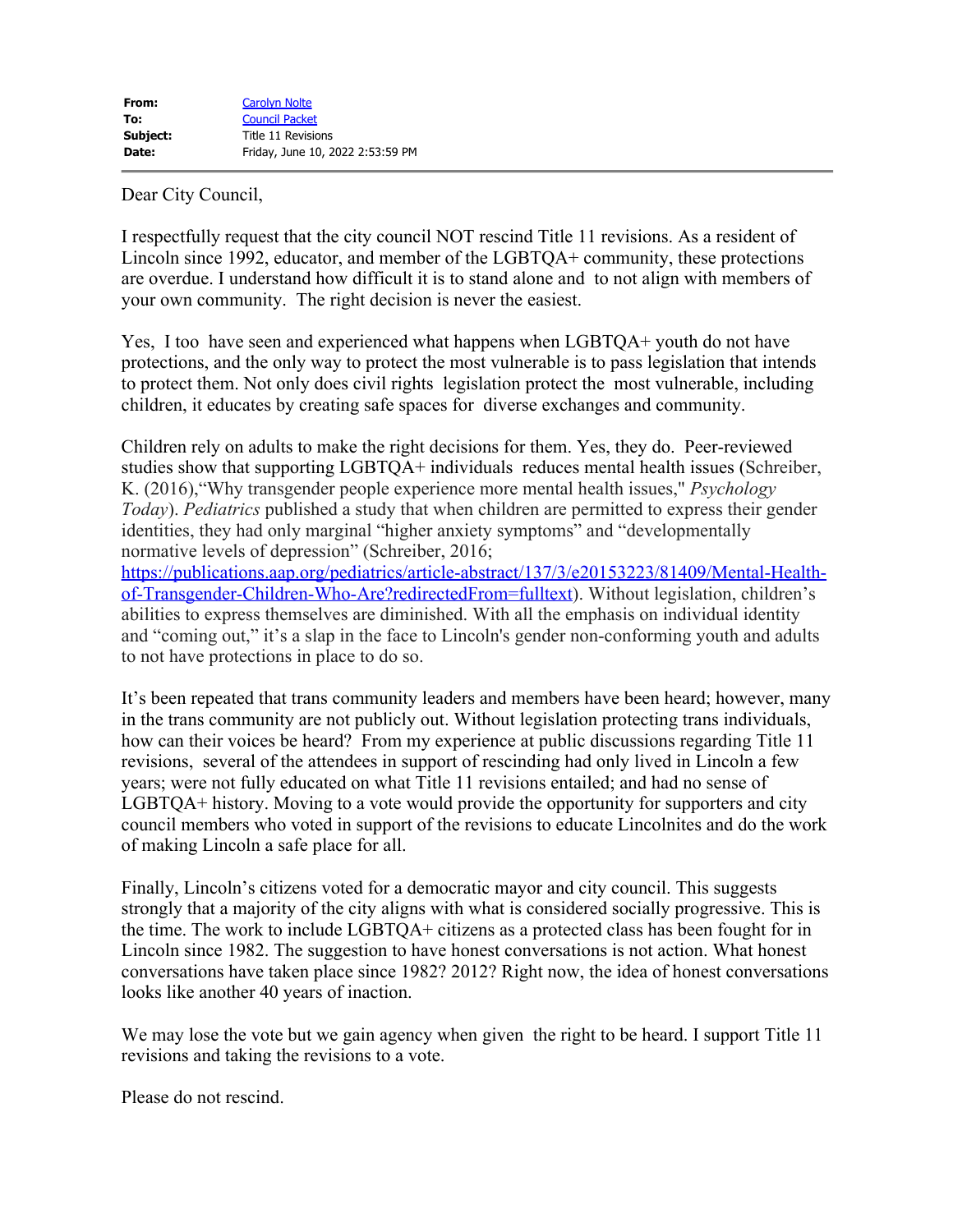Dear City Council,

I respectfully request that the city council NOT rescind Title 11 revisions. As a resident of Lincoln since 1992, educator, and member of the LGBTQA+ community, these protections are overdue. I understand how difficult it is to stand alone and to not align with members of your own community. The right decision is never the easiest.

Yes, I too have seen and experienced what happens when LGBTQA+ youth do not have protections, and the only way to protect the most vulnerable is to pass legislation that intends to protect them. Not only does civil rights legislation protect the most vulnerable, including children, it educates by creating safe spaces for diverse exchanges and community.

Children rely on adults to make the right decisions for them. Yes, they do. Peer-reviewed studies show that supporting LGBTQA+ individuals reduces mental health issues (Schreiber, K. (2016),"Why transgender people experience more mental health issues," *Psychology Today*). *Pediatrics* published a study that when children are permitted to express their gender identities, they had only marginal "higher anxiety symptoms" and "developmentally normative levels of depression" (Schreiber, 2016;

[https://publications.aap.org/pediatrics/article-abstract/137/3/e20153223/81409/Mental-Health](https://protect-us.mimecast.com/s/zOOgC82No9hjkl8JHn0PTz?domain=publications.aap.org)[of-Transgender-Children-Who-Are?redirectedFrom=fulltext\)](https://protect-us.mimecast.com/s/zOOgC82No9hjkl8JHn0PTz?domain=publications.aap.org). Without legislation, children's abilities to express themselves are diminished. With all the emphasis on individual identity and "coming out," it's a slap in the face to Lincoln's gender non-conforming youth and adults to not have protections in place to do so.

It's been repeated that trans community leaders and members have been heard; however, many in the trans community are not publicly out. Without legislation protecting trans individuals, how can their voices be heard? From my experience at public discussions regarding Title 11 revisions, several of the attendees in support of rescinding had only lived in Lincoln a few years; were not fully educated on what Title 11 revisions entailed; and had no sense of LGBTQA+ history. Moving to a vote would provide the opportunity for supporters and city council members who voted in support of the revisions to educate Lincolnites and do the work of making Lincoln a safe place for all.

Finally, Lincoln's citizens voted for a democratic mayor and city council. This suggests strongly that a majority of the city aligns with what is considered socially progressive. This is the time. The work to include LGBTQA+ citizens as a protected class has been fought for in Lincoln since 1982. The suggestion to have honest conversations is not action. What honest conversations have taken place since 1982? 2012? Right now, the idea of honest conversations looks like another 40 years of inaction.

We may lose the vote but we gain agency when given the right to be heard. I support Title 11 revisions and taking the revisions to a vote.

Please do not rescind.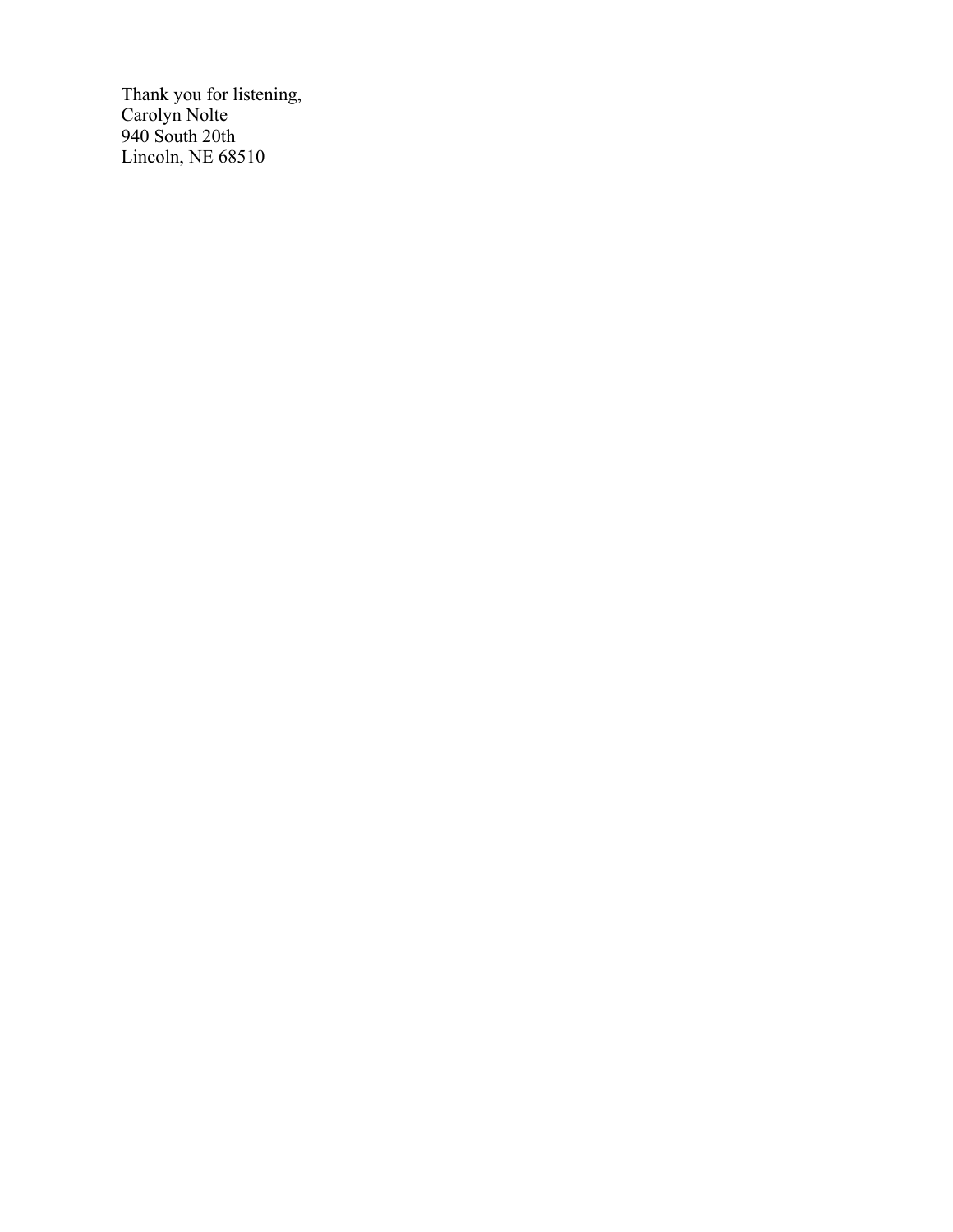Thank you for listening, Carolyn Nolte 940 South 20th Lincoln, NE 68510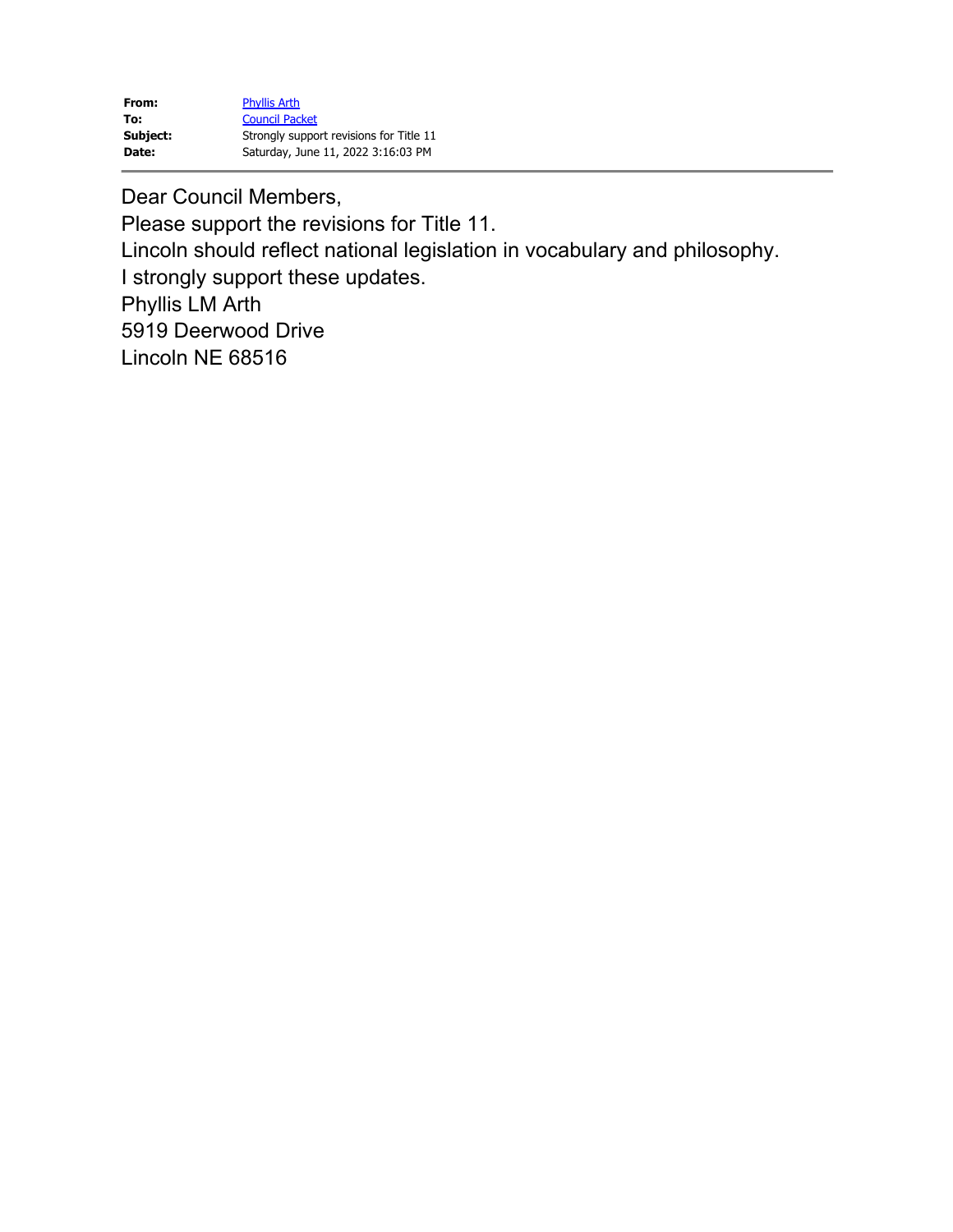| From:    | <b>Phyllis Arth</b>                     |
|----------|-----------------------------------------|
| To:      | <b>Council Packet</b>                   |
| Subject: | Strongly support revisions for Title 11 |
| Date:    | Saturday, June 11, 2022 3:16:03 PM      |

Dear Council Members, Please support the revisions for Title 11. Lincoln should reflect national legislation in vocabulary and philosophy. I strongly support these updates. Phyllis LM Arth 5919 Deerwood Drive Lincoln NE 68516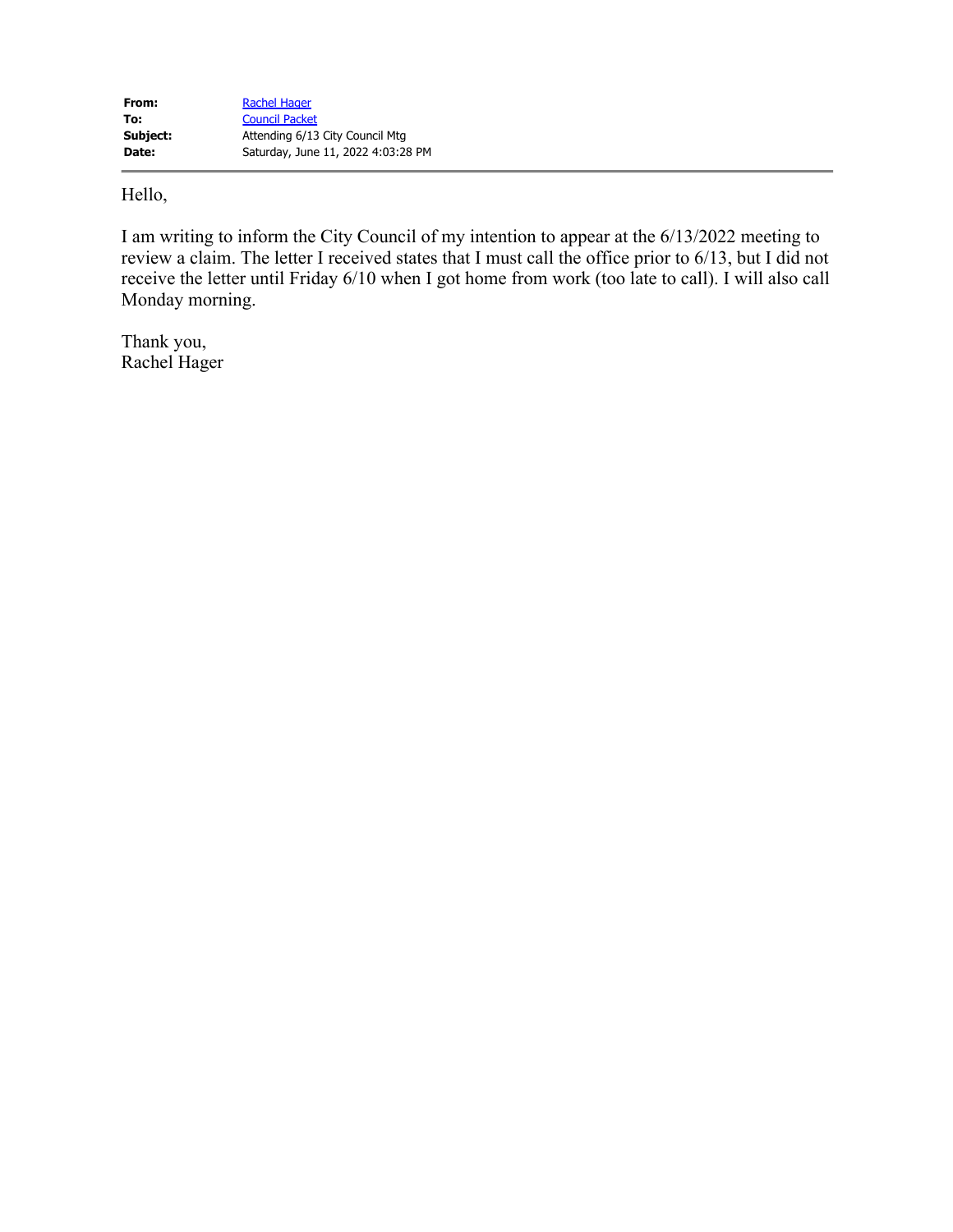Hello,

I am writing to inform the City Council of my intention to appear at the 6/13/2022 meeting to review a claim. The letter I received states that I must call the office prior to 6/13, but I did not receive the letter until Friday 6/10 when I got home from work (too late to call). I will also call Monday morning.

Thank you, Rachel Hager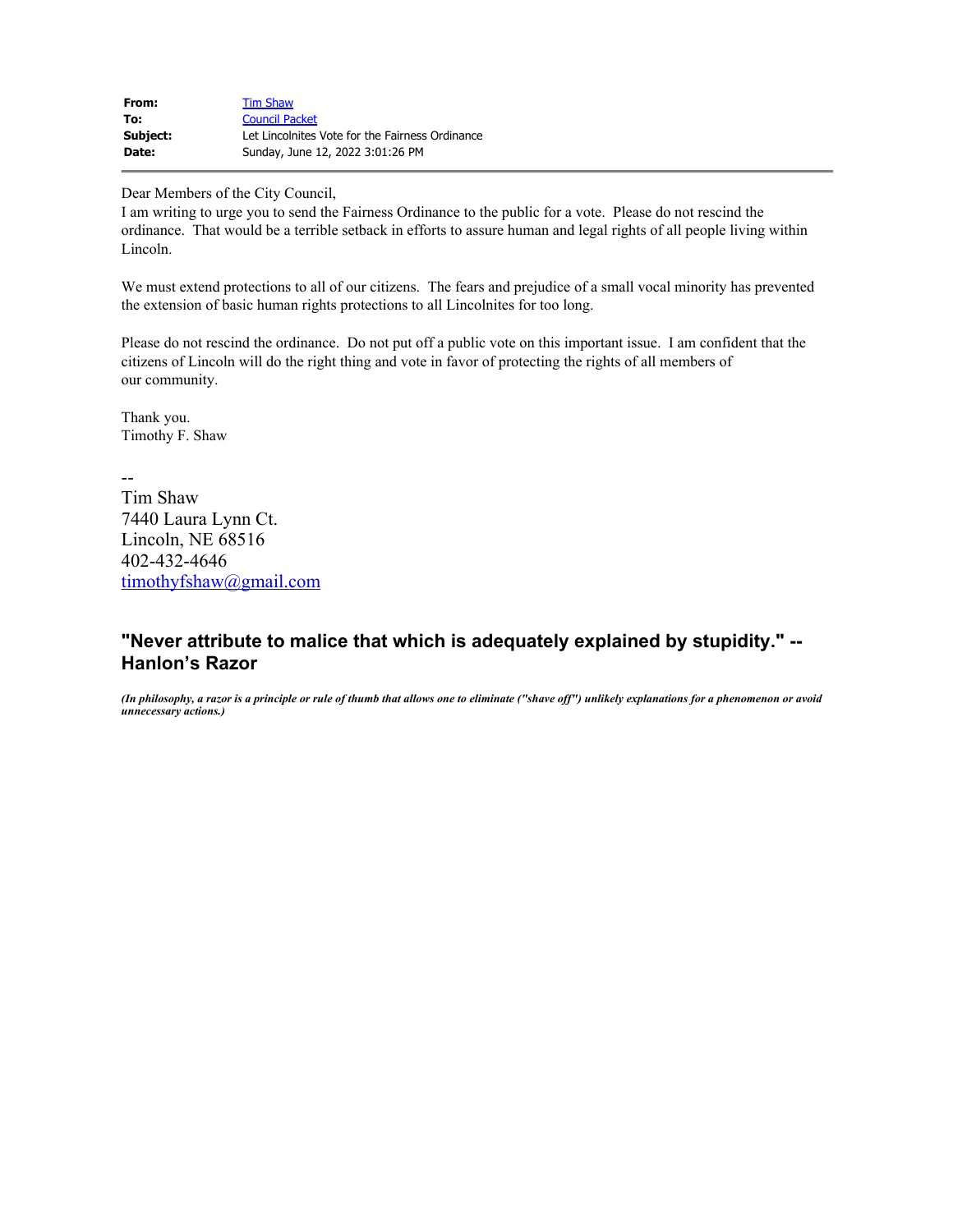| From:    | <b>Tim Shaw</b>                                 |
|----------|-------------------------------------------------|
| To:      | <b>Council Packet</b>                           |
| Subject: | Let Lincolnites Vote for the Fairness Ordinance |
| Date:    | Sunday, June 12, 2022 3:01:26 PM                |

Dear Members of the City Council,

I am writing to urge you to send the Fairness Ordinance to the public for a vote. Please do not rescind the ordinance. That would be a terrible setback in efforts to assure human and legal rights of all people living within Lincoln.

We must extend protections to all of our citizens. The fears and prejudice of a small vocal minority has prevented the extension of basic human rights protections to all Lincolnites for too long.

Please do not rescind the ordinance. Do not put off a public vote on this important issue. I am confident that the citizens of Lincoln will do the right thing and vote in favor of protecting the rights of all members of our community.

Thank you. Timothy F. Shaw

--

Tim Shaw 7440 Laura Lynn Ct. Lincoln, NE 68516 402-432-4646 [timothyfshaw@gmail.com](mailto:timothyfshaw@gmail.com)

## **"Never attribute to malice that which is adequately explained by stupidity." -- Hanlon's Razor**

*(In philosophy, a razor is a principle or rule of thumb that allows one to eliminate ("shave off") unlikely explanations for a phenomenon or avoid unnecessary actions.)*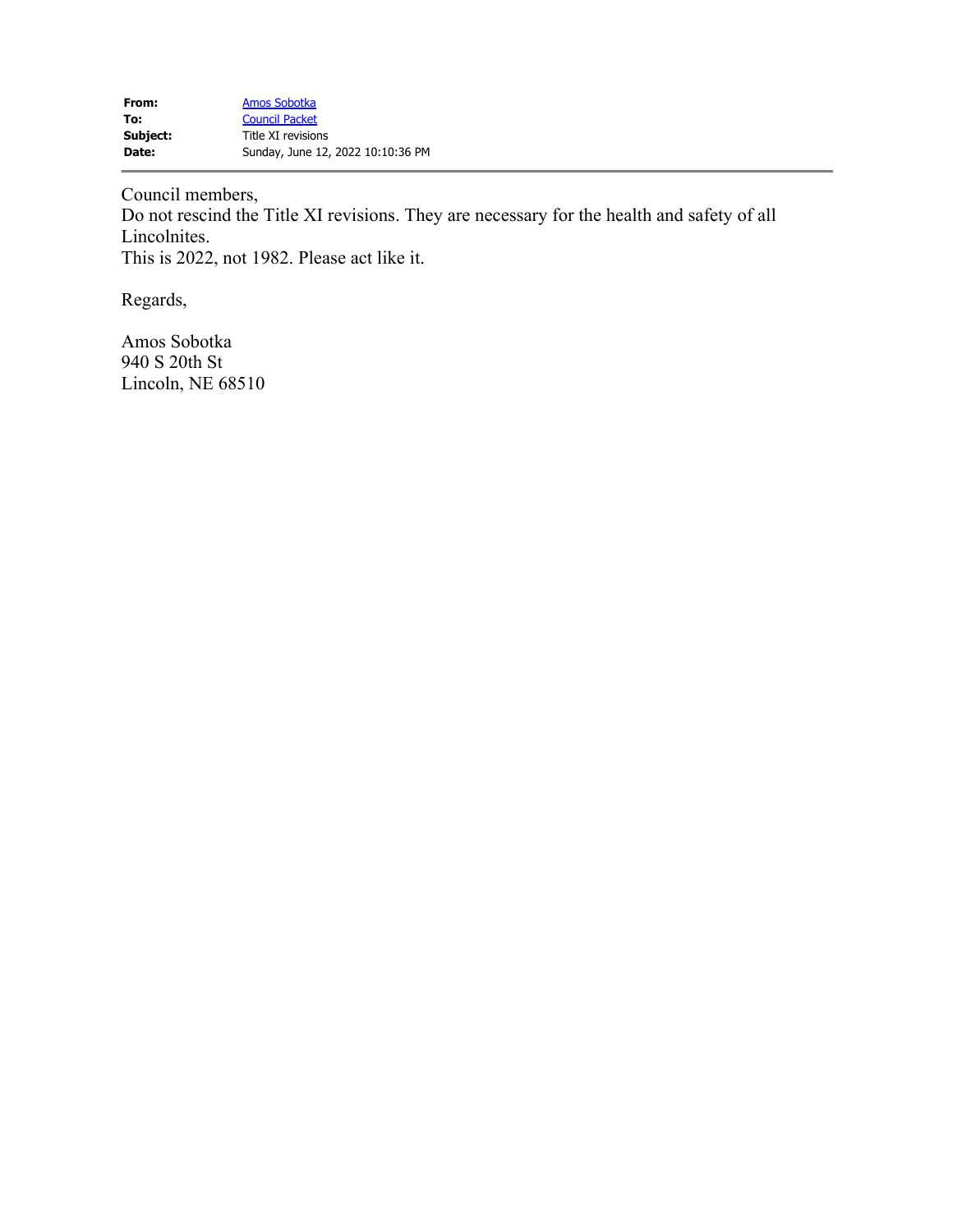Council members,

Do not rescind the Title XI revisions. They are necessary for the health and safety of all Lincolnites. This is 2022, not 1982. Please act like it.

Regards,

Amos Sobotka 940 S 20th St Lincoln, NE 68510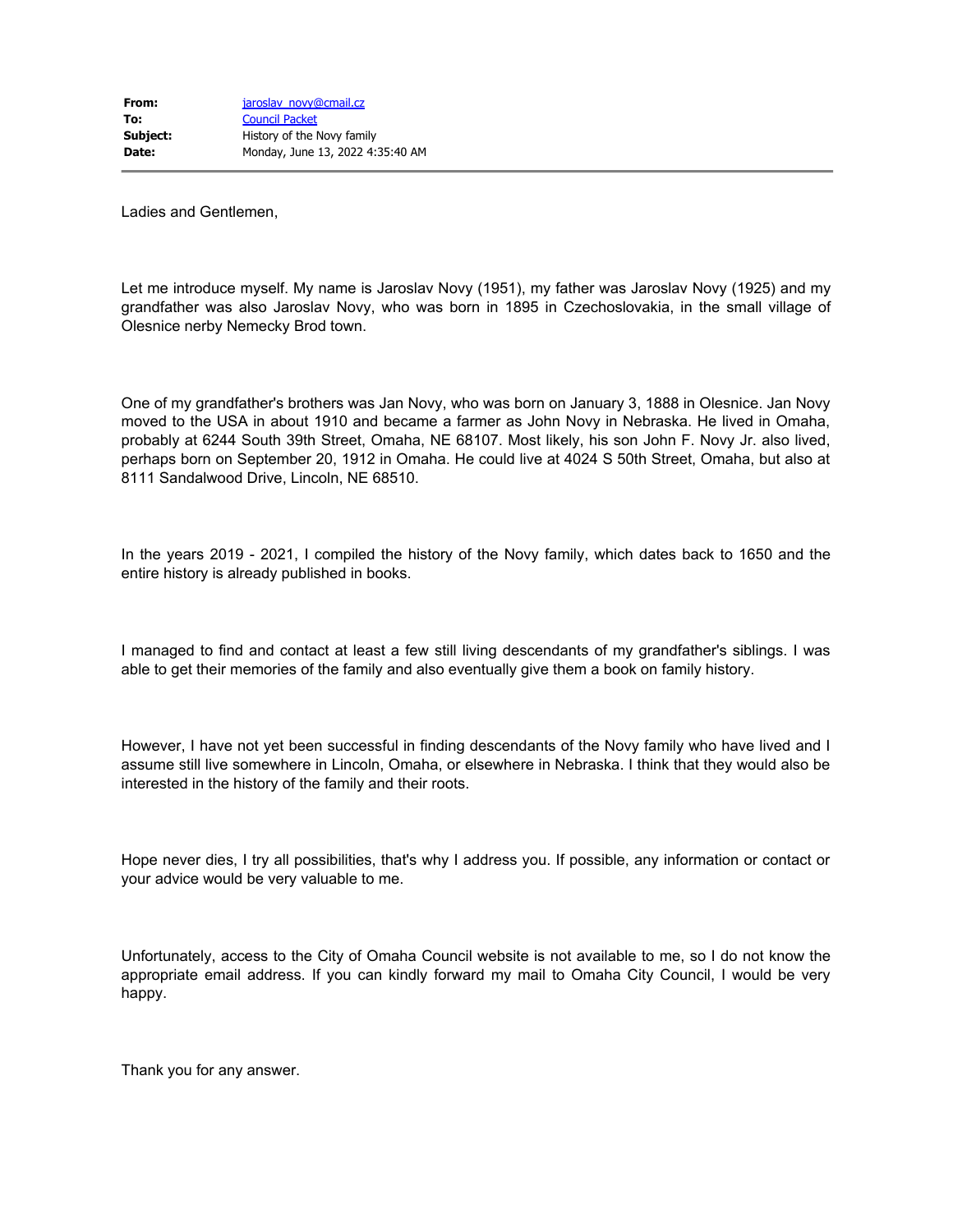Ladies and Gentlemen,

Let me introduce myself. My name is Jaroslav Novy (1951), my father was Jaroslav Novy (1925) and my grandfather was also Jaroslav Novy, who was born in 1895 in Czechoslovakia, in the small village of Olesnice nerby Nemecky Brod town.

One of my grandfather's brothers was Jan Novy, who was born on January 3, 1888 in Olesnice. Jan Novy moved to the USA in about 1910 and became a farmer as John Novy in Nebraska. He lived in Omaha, probably at 6244 South 39th Street, Omaha, NE 68107. Most likely, his son John F. Novy Jr. also lived, perhaps born on September 20, 1912 in Omaha. He could live at 4024 S 50th Street, Omaha, but also at 8111 Sandalwood Drive, Lincoln, NE 68510.

In the years 2019 - 2021, I compiled the history of the Novy family, which dates back to 1650 and the entire history is already published in books.

I managed to find and contact at least a few still living descendants of my grandfather's siblings. I was able to get their memories of the family and also eventually give them a book on family history.

However, I have not yet been successful in finding descendants of the Novy family who have lived and I assume still live somewhere in Lincoln, Omaha, or elsewhere in Nebraska. I think that they would also be interested in the history of the family and their roots.

Hope never dies, I try all possibilities, that's why I address you. If possible, any information or contact or your advice would be very valuable to me.

Unfortunately, access to the City of Omaha Council website is not available to me, so I do not know the appropriate email address. If you can kindly forward my mail to Omaha City Council, I would be very happy.

Thank you for any answer.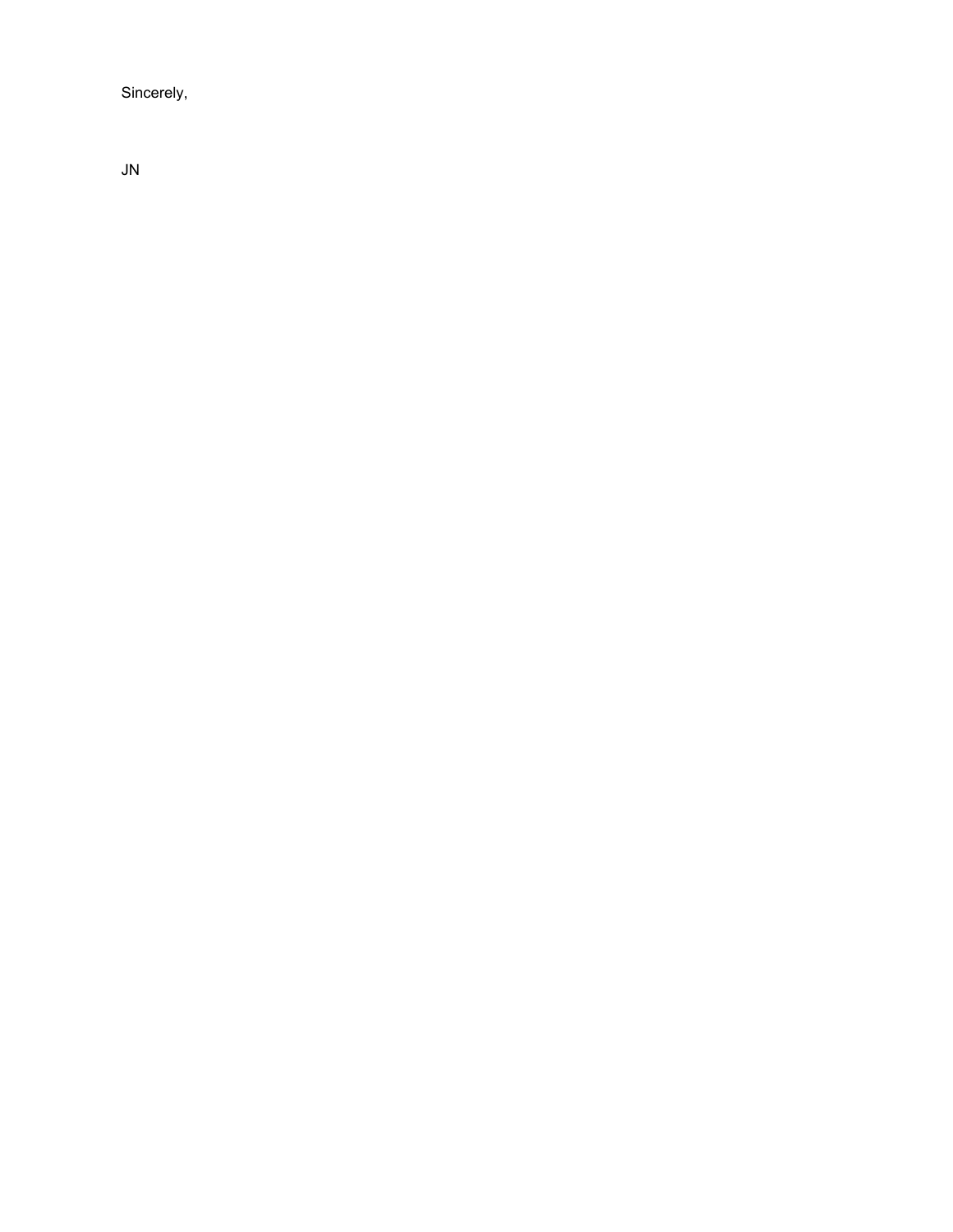Sincerely,

JN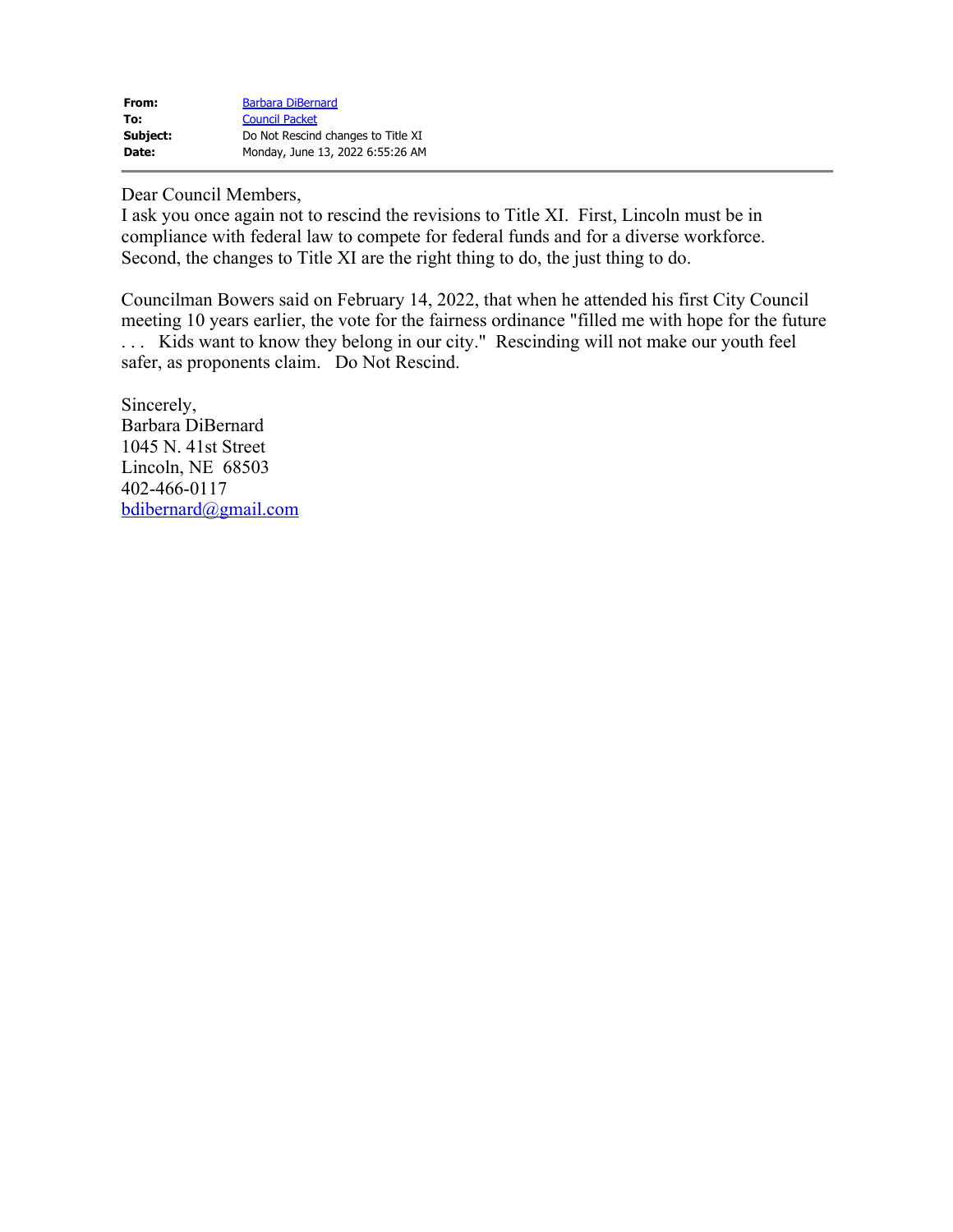| From:    | <b>Barbara DiBernard</b>           |
|----------|------------------------------------|
| To:      | <b>Council Packet</b>              |
| Subject: | Do Not Rescind changes to Title XI |
| Date:    | Monday, June 13, 2022 6:55:26 AM   |

Dear Council Members,

I ask you once again not to rescind the revisions to Title XI. First, Lincoln must be in compliance with federal law to compete for federal funds and for a diverse workforce. Second, the changes to Title XI are the right thing to do, the just thing to do.

Councilman Bowers said on February 14, 2022, that when he attended his first City Council meeting 10 years earlier, the vote for the fairness ordinance "filled me with hope for the future . . . Kids want to know they belong in our city." Rescinding will not make our youth feel safer, as proponents claim. Do Not Rescind.

Sincerely, Barbara DiBernard 1045 N. 41st Street Lincoln, NE 68503 402-466-0117 [bdibernard@gmail.com](mailto:bdibernard@gmail.com)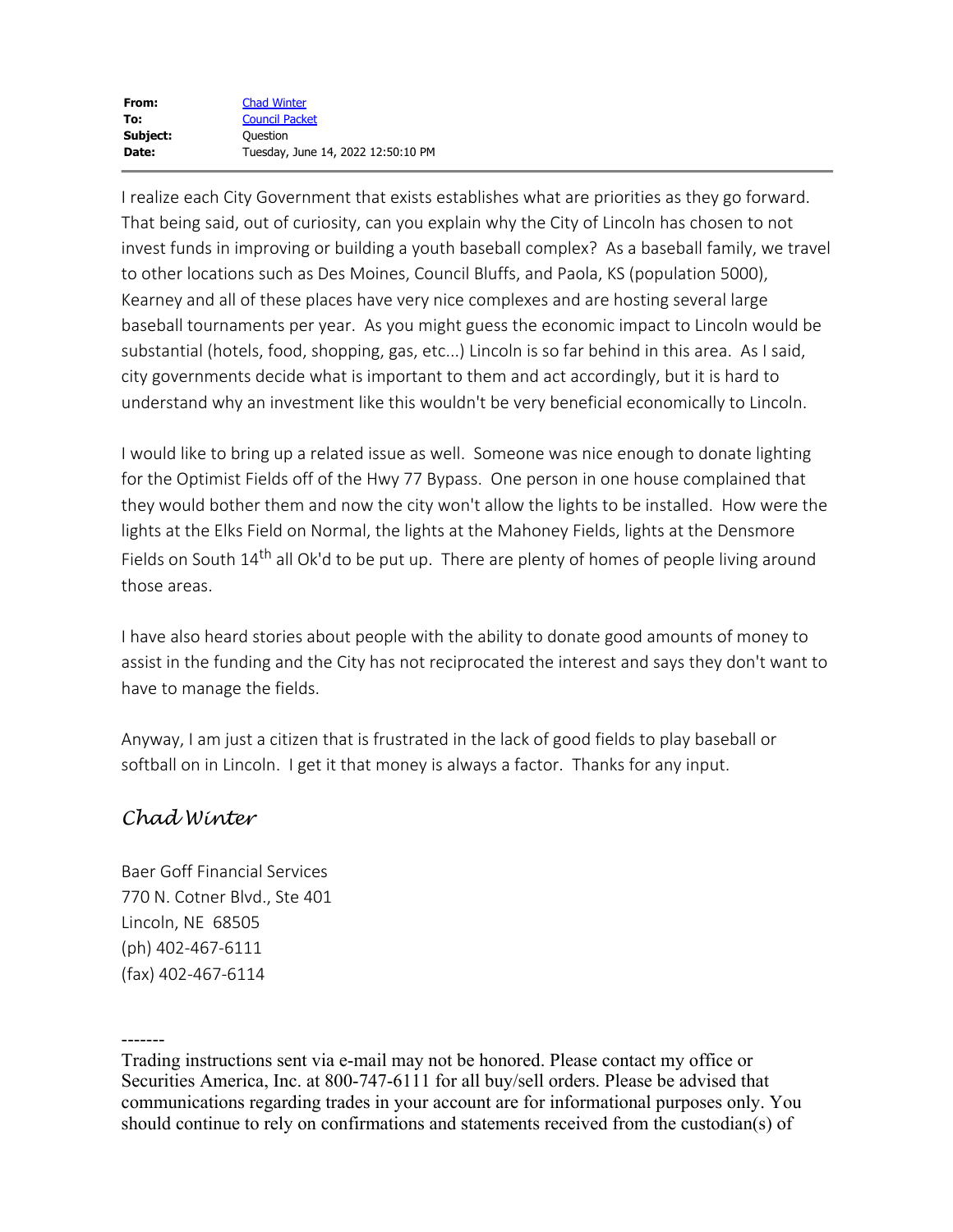I realize each City Government that exists establishes what are priorities as they go forward. That being said, out of curiosity, can you explain why the City of Lincoln has chosen to not invest funds in improving or building a youth baseball complex? As a baseball family, we travel to other locations such as Des Moines, Council Bluffs, and Paola, KS (population 5000), Kearney and all of these places have very nice complexes and are hosting several large baseball tournaments per year. As you might guess the economic impact to Lincoln would be substantial (hotels, food, shopping, gas, etc...) Lincoln is so far behind in this area. As I said, city governments decide what is important to them and act accordingly, but it is hard to understand why an investment like this wouldn't be very beneficial economically to Lincoln.

I would like to bring up a related issue as well. Someone was nice enough to donate lighting for the Optimist Fields off of the Hwy 77 Bypass. One person in one house complained that they would bother them and now the city won't allow the lights to be installed. How were the lights at the Elks Field on Normal, the lights at the Mahoney Fields, lights at the Densmore Fields on South 14<sup>th</sup> all Ok'd to be put up. There are plenty of homes of people living around those areas.

I have also heard stories about people with the ability to donate good amounts of money to assist in the funding and the City has not reciprocated the interest and says they don't want to have to manage the fields.

Anyway, I am just a citizen that is frustrated in the lack of good fields to play baseball or softball on in Lincoln. I get it that money is always a factor. Thanks for any input.

## *Chad Winter*

Baer Goff Financial Services 770 N. Cotner Blvd., Ste 401 Lincoln, NE 68505 (ph) 402-467-6111 (fax) 402-467-6114

-------

Trading instructions sent via e-mail may not be honored. Please contact my office or Securities America, Inc. at 800-747-6111 for all buy/sell orders. Please be advised that communications regarding trades in your account are for informational purposes only. You should continue to rely on confirmations and statements received from the custodian(s) of